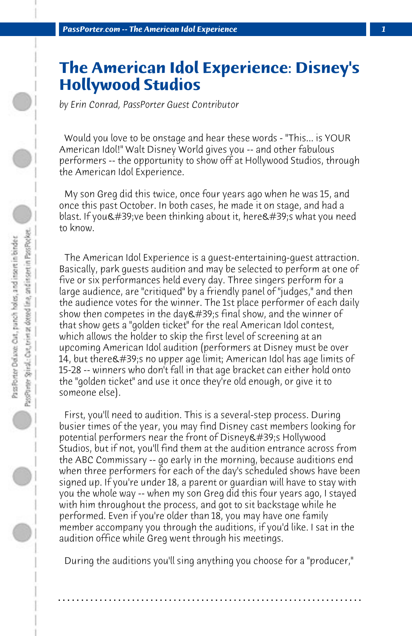## **The American Idol Experience: Disney's Hollywood Studios**

*by Erin Conrad, PassPorter Guest Contributor*

 Would you love to be onstage and hear these words - "This... is YOUR American Idol!" Walt Disney World gives you -- and other fabulous performers -- the opportunity to show off at Hollywood Studios, through the American Idol Experience.

 My son Greg did this twice, once four years ago when he was 15, and once this past October. In both cases, he made it on stage, and had a  $b$ last. If you & #39; ve been thinking about it, here & #39; s what you need to know.

 The American Idol Experience is a guest-entertaining-guest attraction. Basically, park guests audition and may be selected to perform at one of five or six performances held every day. Three singers perform for a large audience, are "critiqued" by a friendly panel of "judges," and then the audience votes for the winner. The 1st place performer of each daily show then competes in the day ' final show, and the winner of that show gets a "golden ticket" for the real American Idol contest, which allows the holder to skip the first level of screening at an upcoming American Idol audition (performers at Disney must be over 14, but there  $\#39$ ; no upper age limit; American Idol has age limits of 15-28 -- winners who don't fall in that age bracket can either hold onto the "golden ticket" and use it once they're old enough, or give it to someone else).

 First, you'll need to audition. This is a several-step process. During busier times of the year, you may find Disney cast members looking for potential performers near the front of Disney & #39;s Hollywood Studios, but if not, you'll find them at the audition entrance across from the ABC Commissary -- go early in the morning, because auditions end when three performers for each of the day's scheduled shows have been signed up. If you're under 18, a parent or guardian will have to stay with you the whole way -- when my son Greg did this four years ago, I stayed with him throughout the process, and got to sit backstage while he performed. Even if you're older than 18, you may have one family member accompany you through the auditions, if you'd like. I sat in the audition office while Greg went through his meetings.

 During the auditions you'll sing anything you choose for a "producer,"

**. . . . . . . . . . . . . . . . . . . . . . . . . . . . . . . . . . . . . . . . . . . . . . . . . . . . . . . . . . . . . . . . . .**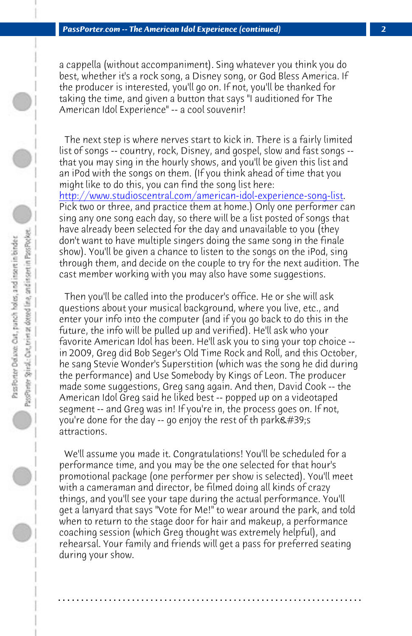*PassPorter.com -- The American Idol Experience (continued) 2*

a cappella (without accompaniment). Sing whatever you think you do best, whether it's a rock song, a Disney song, or God Bless America. If the producer is interested, you'll go on. If not, you'll be thanked for taking the time, and given a button that says "I auditioned for The American Idol Experience" -- a cool souvenir!

 The next step is where nerves start to kick in. There is a fairly limited list of songs -- country, rock, Disney, and gospel, slow and fast songs - that you may sing in the hourly shows, and you'll be given this list and an iPod with the songs on them. (If you think ahead of time that you might like to do this, you can find the song list here: http://www.studioscentral.com/american-idol-experience-song-list. Pick two or three, and practice them at home.) Only one performer can sing any one song each day, so there will be a list posted of songs that have already been selected for the day and unavailable to you (they don't want to have multiple singers doing the same song in the finale show). You'll be given a chance to listen to the songs on the iPod, sing through them, and decide on the couple to try for the next audition. The

cast member working with you may also have some suggestions.

 Then you'll be called into the producer's office. He or she will ask questions about your musical background, where you live, etc., and enter your info into the computer (and if you go back to do this in the future, the info will be pulled up and verified). He'll ask who your favorite American Idol has been. He'll ask you to sing your top choice - in 2009, Greg did Bob Seger's Old Time Rock and Roll, and this October, he sang Stevie Wonder's Superstition (which was the song he did during the performance) and Use Somebody by Kings of Leon. The producer made some suggestions, Greg sang again. And then, David Cook -- the American Idol Greg said he liked best -- popped up on a videotaped segment -- and Greg was in! If you're in, the process goes on. If not, you're done for the day  $-$  go enjoy the rest of th park $\&\#39;$ s attractions.

 We'll assume you made it. Congratulations! You'll be scheduled for a performance time, and you may be the one selected for that hour's promotional package (one performer per show is selected). You'll meet with a cameraman and director, be filmed doing all kinds of crazy things, and you'll see your tape during the actual performance. You'll get a lanyard that says "Vote for Me!" to wear around the park, and told when to return to the stage door for hair and makeup, a performance coaching session (which Greg thought was extremely helpful), and rehearsal. Your family and friends will get a pass for preferred seating during your show.

**. . . . . . . . . . . . . . . . . . . . . . . . . . . . . . . . . . . . . . . . . . . . . . . . . . . . . . . . . . . . . . . . . .**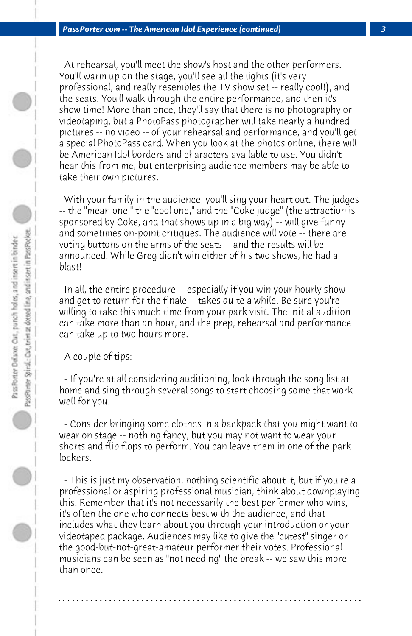At rehearsal, you'll meet the show's host and the other performers. You'll warm up on the stage, you'll see all the lights (it's very professional, and really resembles the TV show set -- really cool!), and the seats. You'll walk through the entire performance, and then it's show time! More than once, they'll say that there is no photography or videotaping, but a PhotoPass photographer will take nearly a hundred pictures -- no video -- of your rehearsal and performance, and you'll get a special PhotoPass card. When you look at the photos online, there will be American Idol borders and characters available to use. You didn't hear this from me, but enterprising audience members may be able to take their own pictures.

 With your family in the audience, you'll sing your heart out. The judges -- the "mean one," the "cool one," and the "Coke judge" (the attraction is sponsored by Coke, and that shows up in a big way) -- will give funny and sometimes on-point critiques. The audience will vote -- there are voting buttons on the arms of the seats -- and the results will be announced. While Greg didn't win either of his two shows, he had a blast!

 In all, the entire procedure -- especially if you win your hourly show and get to return for the finale -- takes quite a while. Be sure you're willing to take this much time from your park visit. The initial audition can take more than an hour, and the prep, rehearsal and performance can take up to two hours more.

 A couple of tips:

 - If you're at all considering auditioning, look through the song list at home and sing through several songs to start choosing some that work well for you.

 - Consider bringing some clothes in a backpack that you might want to wear on stage -- nothing fancy, but you may not want to wear your shorts and flip flops to perform. You can leave them in one of the park lockers.

 - This is just my observation, nothing scientific about it, but if you're a professional or aspiring professional musician, think about downplaying this. Remember that it's not necessarily the best performer who wins, it's often the one who connects best with the audience, and that includes what they learn about you through your introduction or your videotaped package. Audiences may like to give the "cutest" singer or the good-but-not-great-amateur performer their votes. Professional musicians can be seen as "not needing" the break -- we saw this more than once.

**. . . . . . . . . . . . . . . . . . . . . . . . . . . . . . . . . . . . . . . . . . . . . . . . . . . . . . . . . . . . . . . . . .**